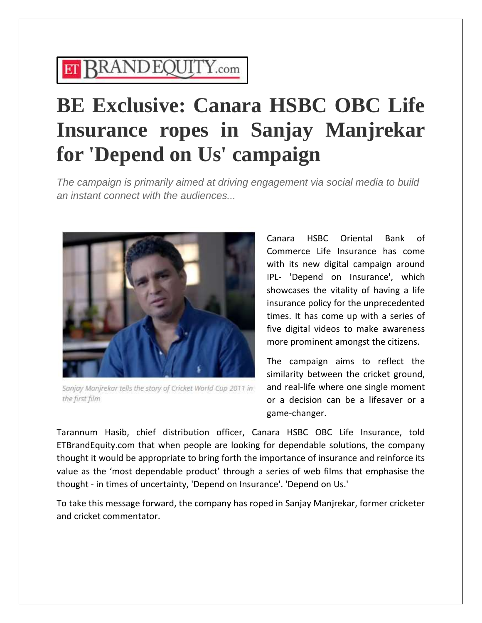## **ET RRANDEQUITY.com**

## **BE Exclusive: Canara HSBC OBC Life Insurance ropes in Sanjay Manjrekar for 'Depend on Us' campaign**

*The campaign is primarily aimed at driving engagement via social media to build an instant connect with the audiences...*



Sanjay Manjrekar tells the story of Cricket World Cup 2011 in the first film

Canara HSBC Oriental Bank of Commerce Life Insurance has come with its new digital campaign around IPL- 'Depend on Insurance', which showcases the vitality of having a life insurance policy for the unprecedented times. It has come up with a series of five digital videos to make awareness more prominent amongst the citizens.

The campaign aims to reflect the similarity between the cricket ground, and real-life where one single moment or a decision can be a lifesaver or a game-changer.

Tarannum Hasib, chief distribution officer, Canara HSBC OBC Life Insurance, told ETBrandEquity.com that when people are looking for dependable solutions, the company thought it would be appropriate to bring forth the importance of insurance and reinforce its value as the 'most dependable product' through a series of web films that emphasise the thought - in times of uncertainty, 'Depend on Insurance'. 'Depend on Us.'

To take this message forward, the company has roped in Sanjay Manjrekar, former cricketer and cricket commentator.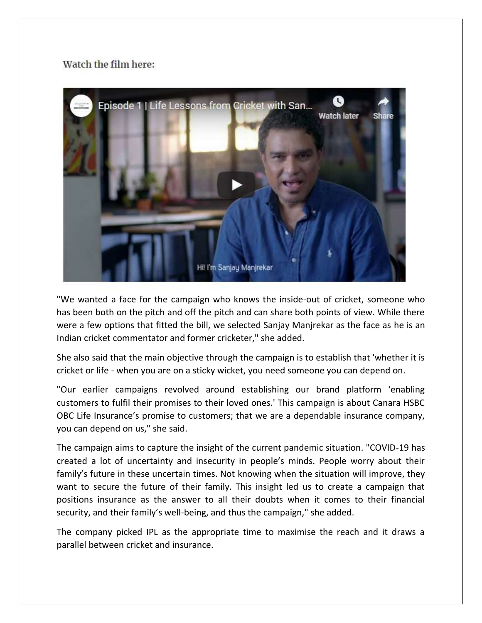## Watch the film here:



"We wanted a face for the campaign who knows the inside-out of cricket, someone who has been both on the pitch and off the pitch and can share both points of view. While there were a few options that fitted the bill, we selected Sanjay Manjrekar as the face as he is an Indian cricket commentator and former cricketer," she added.

She also said that the main objective through the campaign is to establish that 'whether it is cricket or life - when you are on a sticky wicket, you need someone you can depend on.

"Our earlier campaigns revolved around establishing our brand platform 'enabling customers to fulfil their promises to their loved ones.' This campaign is about Canara HSBC OBC Life Insurance's promise to customers; that we are a dependable insurance company, you can depend on us," she said.

The campaign aims to capture the insight of the current pandemic situation. "COVID-19 has created a lot of uncertainty and insecurity in people's minds. People worry about their family's future in these uncertain times. Not knowing when the situation will improve, they want to secure the future of their family. This insight led us to create a campaign that positions insurance as the answer to all their doubts when it comes to their financial security, and their family's well-being, and thus the campaign," she added.

The company picked IPL as the appropriate time to maximise the reach and it draws a parallel between cricket and insurance.